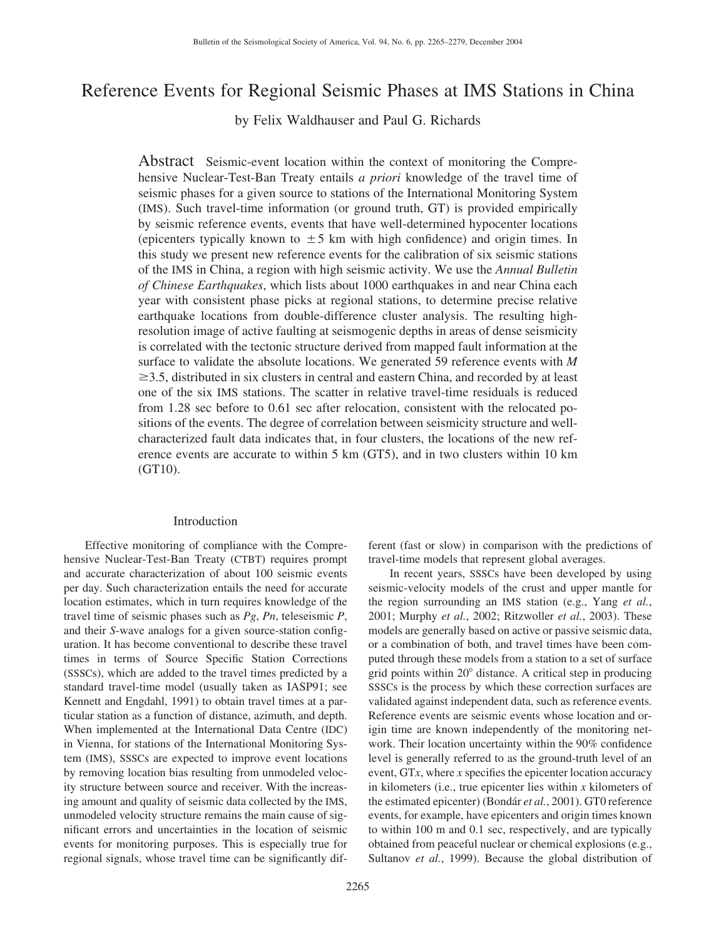# Reference Events for Regional Seismic Phases at IMS Stations in China

by Felix Waldhauser and Paul G. Richards

Abstract Seismic-event location within the context of monitoring the Comprehensive Nuclear-Test-Ban Treaty entails *a priori* knowledge of the travel time of seismic phases for a given source to stations of the International Monitoring System (IMS). Such travel-time information (or ground truth, GT) is provided empirically by seismic reference events, events that have well-determined hypocenter locations (epicenters typically known to  $\pm$  5 km with high confidence) and origin times. In this study we present new reference events for the calibration of six seismic stations of the IMS in China, a region with high seismic activity. We use the *Annual Bulletin of Chinese Earthquakes*, which lists about 1000 earthquakes in and near China each year with consistent phase picks at regional stations, to determine precise relative earthquake locations from double-difference cluster analysis. The resulting highresolution image of active faulting at seismogenic depths in areas of dense seismicity is correlated with the tectonic structure derived from mapped fault information at the surface to validate the absolute locations. We generated 59 reference events with *M*  $\geq$ 3.5, distributed in six clusters in central and eastern China, and recorded by at least one of the six IMS stations. The scatter in relative travel-time residuals is reduced from 1.28 sec before to 0.61 sec after relocation, consistent with the relocated positions of the events. The degree of correlation between seismicity structure and wellcharacterized fault data indicates that, in four clusters, the locations of the new reference events are accurate to within 5 km (GT5), and in two clusters within 10 km (GT10).

## Introduction

Effective monitoring of compliance with the Comprehensive Nuclear-Test-Ban Treaty (CTBT) requires prompt and accurate characterization of about 100 seismic events per day. Such characterization entails the need for accurate location estimates, which in turn requires knowledge of the travel time of seismic phases such as *Pg*, *Pn*, teleseismic *P*, and their *S*-wave analogs for a given source-station configuration. It has become conventional to describe these travel times in terms of Source Specific Station Corrections (SSSCs), which are added to the travel times predicted by a standard travel-time model (usually taken as IASP91; see Kennett and Engdahl, 1991) to obtain travel times at a particular station as a function of distance, azimuth, and depth. When implemented at the International Data Centre (IDC) in Vienna, for stations of the International Monitoring System (IMS), SSSCs are expected to improve event locations by removing location bias resulting from unmodeled velocity structure between source and receiver. With the increasing amount and quality of seismic data collected by the IMS, unmodeled velocity structure remains the main cause of significant errors and uncertainties in the location of seismic events for monitoring purposes. This is especially true for regional signals, whose travel time can be significantly different (fast or slow) in comparison with the predictions of travel-time models that represent global averages.

In recent years, SSSCs have been developed by using seismic-velocity models of the crust and upper mantle for the region surrounding an IMS station (e.g., Yang *et al.*, 2001; Murphy *et al.*, 2002; Ritzwoller *et al.*, 2003). These models are generally based on active or passive seismic data, or a combination of both, and travel times have been computed through these models from a station to a set of surface grid points within  $20^{\circ}$  distance. A critical step in producing SSSCs is the process by which these correction surfaces are validated against independent data, such as reference events. Reference events are seismic events whose location and origin time are known independently of the monitoring network. Their location uncertainty within the 90% confidence level is generally referred to as the ground-truth level of an event, GT*x*, where *x* specifies the epicenter location accuracy in kilometers (i.e., true epicenter lies within *x* kilometers of the estimated epicenter) (Bondár *et al.*, 2001). GT0 reference events, for example, have epicenters and origin times known to within 100 m and 0.1 sec, respectively, and are typically obtained from peaceful nuclear or chemical explosions (e.g., Sultanov *et al.*, 1999). Because the global distribution of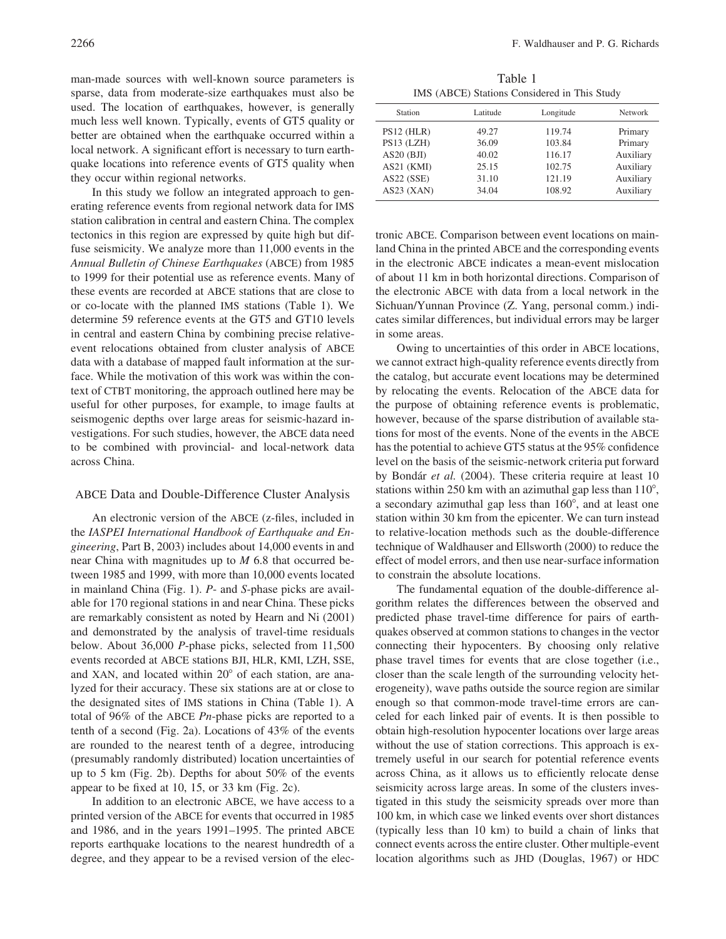man-made sources with well-known source parameters is sparse, data from moderate-size earthquakes must also be used. The location of earthquakes, however, is generally much less well known. Typically, events of GT5 quality or better are obtained when the earthquake occurred within a local network. A significant effort is necessary to turn earthquake locations into reference events of GT5 quality when they occur within regional networks.

In this study we follow an integrated approach to generating reference events from regional network data for IMS station calibration in central and eastern China. The complex tectonics in this region are expressed by quite high but diffuse seismicity. We analyze more than 11,000 events in the *Annual Bulletin of Chinese Earthquakes* (ABCE) from 1985 to 1999 for their potential use as reference events. Many of these events are recorded at ABCE stations that are close to or co-locate with the planned IMS stations (Table 1). We determine 59 reference events at the GT5 and GT10 levels in central and eastern China by combining precise relativeevent relocations obtained from cluster analysis of ABCE data with a database of mapped fault information at the surface. While the motivation of this work was within the context of CTBT monitoring, the approach outlined here may be useful for other purposes, for example, to image faults at seismogenic depths over large areas for seismic-hazard investigations. For such studies, however, the ABCE data need to be combined with provincial- and local-network data across China.

#### ABCE Data and Double-Difference Cluster Analysis

An electronic version of the ABCE (z-files, included in the *IASPEI International Handbook of Earthquake and Engineering*, Part B, 2003) includes about 14,000 events in and near China with magnitudes up to *M* 6.8 that occurred between 1985 and 1999, with more than 10,000 events located in mainland China (Fig. 1). *P*- and *S*-phase picks are available for 170 regional stations in and near China. These picks are remarkably consistent as noted by Hearn and Ni (2001) and demonstrated by the analysis of travel-time residuals below. About 36,000 *P*-phase picks, selected from 11,500 events recorded at ABCE stations BJI, HLR, KMI, LZH, SSE, and XAN, and located within  $20^{\circ}$  of each station, are analyzed for their accuracy. These six stations are at or close to the designated sites of IMS stations in China (Table 1). A total of 96% of the ABCE *Pn*-phase picks are reported to a tenth of a second (Fig. 2a). Locations of 43% of the events are rounded to the nearest tenth of a degree, introducing (presumably randomly distributed) location uncertainties of up to 5 km (Fig. 2b). Depths for about 50% of the events appear to be fixed at 10, 15, or 33 km (Fig. 2c).

In addition to an electronic ABCE, we have access to a printed version of the ABCE for events that occurred in 1985 and 1986, and in the years 1991–1995. The printed ABCE reports earthquake locations to the nearest hundredth of a degree, and they appear to be a revised version of the elec-

Table 1 IMS (ABCE) Stations Considered in This Study

| Station      | Latitude | Longitude | <b>Network</b> |
|--------------|----------|-----------|----------------|
| $PS12$ (HLR) | 49.27    | 119.74    | Primary        |
| PS13 (LZH)   | 36.09    | 103.84    | Primary        |
| AS20(BJI)    | 40.02    | 116.17    | Auxiliary      |
| AS21 (KMI)   | 25.15    | 102.75    | Auxiliary      |
| AS22(SSE)    | 31.10    | 121.19    | Auxiliary      |
| $AS23$ (XAN) | 34.04    | 108.92    | Auxiliary      |
|              |          |           |                |

tronic ABCE. Comparison between event locations on mainland China in the printed ABCE and the corresponding events in the electronic ABCE indicates a mean-event mislocation of about 11 km in both horizontal directions. Comparison of the electronic ABCE with data from a local network in the Sichuan/Yunnan Province (Z. Yang, personal comm.) indicates similar differences, but individual errors may be larger in some areas.

Owing to uncertainties of this order in ABCE locations, we cannot extract high-quality reference events directly from the catalog, but accurate event locations may be determined by relocating the events. Relocation of the ABCE data for the purpose of obtaining reference events is problematic, however, because of the sparse distribution of available stations for most of the events. None of the events in the ABCE has the potential to achieve GT5 status at the 95% confidence level on the basis of the seismic-network criteria put forward by Bondár *et al.* (2004). These criteria require at least 10 stations within 250 km with an azimuthal gap less than  $110^{\circ}$ , a secondary azimuthal gap less than  $160^{\circ}$ , and at least one station within 30 km from the epicenter. We can turn instead to relative-location methods such as the double-difference technique of Waldhauser and Ellsworth (2000) to reduce the effect of model errors, and then use near-surface information to constrain the absolute locations.

The fundamental equation of the double-difference algorithm relates the differences between the observed and predicted phase travel-time difference for pairs of earthquakes observed at common stations to changes in the vector connecting their hypocenters. By choosing only relative phase travel times for events that are close together (i.e., closer than the scale length of the surrounding velocity heterogeneity), wave paths outside the source region are similar enough so that common-mode travel-time errors are canceled for each linked pair of events. It is then possible to obtain high-resolution hypocenter locations over large areas without the use of station corrections. This approach is extremely useful in our search for potential reference events across China, as it allows us to efficiently relocate dense seismicity across large areas. In some of the clusters investigated in this study the seismicity spreads over more than 100 km, in which case we linked events over short distances (typically less than 10 km) to build a chain of links that connect events across the entire cluster. Other multiple-event location algorithms such as JHD (Douglas, 1967) or HDC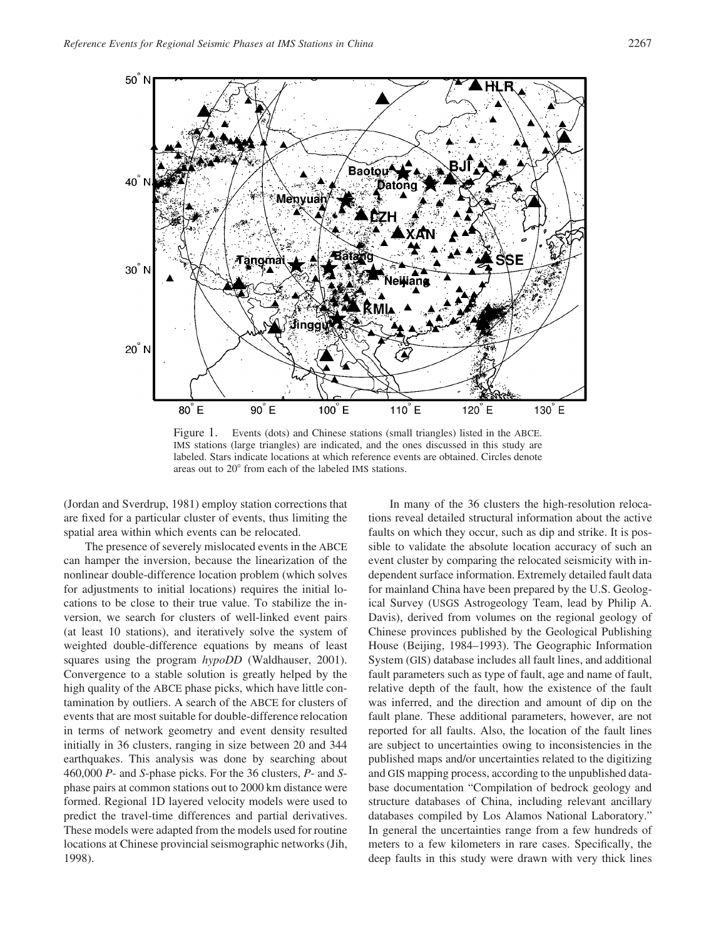

Figure 1. Events (dots) and Chinese stations (small triangles) listed in the ABCE. IMS stations (large triangles) are indicated, and the ones discussed in this study are labeled. Stars indicate locations at which reference events are obtained. Circles denote areas out to 20° from each of the labeled IMS stations.

(Jordan and Sverdrup, 1981) employ station corrections that are fixed for a particular cluster of events, thus limiting the spatial area within which events can be relocated.

The presence of severely mislocated events in the ABCE can hamper the inversion, because the linearization of the nonlinear double-difference location problem (which solves for adjustments to initial locations) requires the initial locations to be close to their true value. To stabilize the inversion, we search for clusters of well-linked event pairs (at least 10 stations), and iteratively solve the system of weighted double-difference equations by means of least squares using the program *hypoDD* (Waldhauser, 2001). Convergence to a stable solution is greatly helped by the high quality of the ABCE phase picks, which have little contamination by outliers. A search of the ABCE for clusters of events that are most suitable for double-difference relocation in terms of network geometry and event density resulted initially in 36 clusters, ranging in size between 20 and 344 earthquakes. This analysis was done by searching about 460,000 *P*- and *S*-phase picks. For the 36 clusters, *P*- and *S*phase pairs at common stations out to 2000 km distance were formed. Regional 1D layered velocity models were used to predict the travel-time differences and partial derivatives. These models were adapted from the models used for routine locations at Chinese provincial seismographic networks (Jih, 1998).

In many of the 36 clusters the high-resolution relocations reveal detailed structural information about the active faults on which they occur, such as dip and strike. It is possible to validate the absolute location accuracy of such an event cluster by comparing the relocated seismicity with independent surface information. Extremely detailed fault data for mainland China have been prepared by the U.S. Geological Survey (USGS Astrogeology Team, lead by Philip A. Davis), derived from volumes on the regional geology of Chinese provinces published by the Geological Publishing House (Beijing, 1984–1993). The Geographic Information System (GIS) database includes all fault lines, and additional fault parameters such as type of fault, age and name of fault, relative depth of the fault, how the existence of the fault was inferred, and the direction and amount of dip on the fault plane. These additional parameters, however, are not reported for all faults. Also, the location of the fault lines are subject to uncertainties owing to inconsistencies in the published maps and/or uncertainties related to the digitizing and GIS mapping process, according to the unpublished database documentation "Compilation of bedrock geology and structure databases of China, including relevant ancillary databases compiled by Los Alamos National Laboratory." In general the uncertainties range from a few hundreds of meters to a few kilometers in rare cases. Specifically, the deep faults in this study were drawn with very thick lines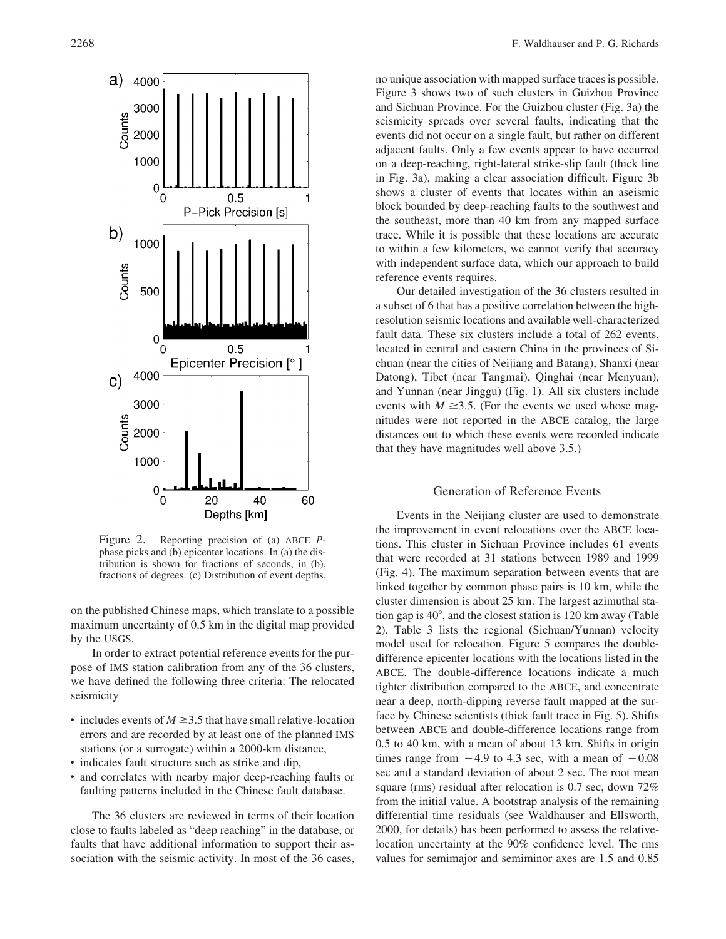

Figure 2. Reporting precision of (a) ABCE *P*phase picks and (b) epicenter locations. In (a) the distribution is shown for fractions of seconds, in (b), fractions of degrees. (c) Distribution of event depths.

on the published Chinese maps, which translate to a possible maximum uncertainty of 0.5 km in the digital map provided by the USGS.

In order to extract potential reference events for the purpose of IMS station calibration from any of the 36 clusters, we have defined the following three criteria: The relocated seismicity

- includes events of  $M \geq 3.5$  that have small relative-location errors and are recorded by at least one of the planned IMS stations (or a surrogate) within a 2000-km distance,
- indicates fault structure such as strike and dip,
- and correlates with nearby major deep-reaching faults or faulting patterns included in the Chinese fault database.

The 36 clusters are reviewed in terms of their location close to faults labeled as "deep reaching" in the database, or faults that have additional information to support their association with the seismic activity. In most of the 36 cases,

no unique association with mapped surface traces is possible. Figure 3 shows two of such clusters in Guizhou Province and Sichuan Province. For the Guizhou cluster (Fig. 3a) the seismicity spreads over several faults, indicating that the events did not occur on a single fault, but rather on different adjacent faults. Only a few events appear to have occurred on a deep-reaching, right-lateral strike-slip fault (thick line in Fig. 3a), making a clear association difficult. Figure 3b shows a cluster of events that locates within an aseismic block bounded by deep-reaching faults to the southwest and the southeast, more than 40 km from any mapped surface trace. While it is possible that these locations are accurate to within a few kilometers, we cannot verify that accuracy with independent surface data, which our approach to build reference events requires.

Our detailed investigation of the 36 clusters resulted in a subset of 6 that has a positive correlation between the highresolution seismic locations and available well-characterized fault data. These six clusters include a total of 262 events, located in central and eastern China in the provinces of Sichuan (near the cities of Neijiang and Batang), Shanxi (near Datong), Tibet (near Tangmai), Qinghai (near Menyuan), and Yunnan (near Jinggu) (Fig. 1). All six clusters include events with  $M \geq 3.5$ . (For the events we used whose magnitudes were not reported in the ABCE catalog, the large distances out to which these events were recorded indicate that they have magnitudes well above 3.5.)

## Generation of Reference Events

Events in the Neijiang cluster are used to demonstrate the improvement in event relocations over the ABCE locations. This cluster in Sichuan Province includes 61 events that were recorded at 31 stations between 1989 and 1999 (Fig. 4). The maximum separation between events that are linked together by common phase pairs is 10 km, while the cluster dimension is about 25 km. The largest azimuthal station gap is  $40^{\circ}$ , and the closest station is 120 km away (Table 2). Table 3 lists the regional (Sichuan/Yunnan) velocity model used for relocation. Figure 5 compares the doubledifference epicenter locations with the locations listed in the ABCE. The double-difference locations indicate a much tighter distribution compared to the ABCE, and concentrate near a deep, north-dipping reverse fault mapped at the surface by Chinese scientists (thick fault trace in Fig. 5). Shifts between ABCE and double-difference locations range from 0.5 to 40 km, with a mean of about 13 km. Shifts in origin times range from  $-4.9$  to 4.3 sec, with a mean of  $-0.08$ sec and a standard deviation of about 2 sec. The root mean square (rms) residual after relocation is 0.7 sec, down 72% from the initial value. A bootstrap analysis of the remaining differential time residuals (see Waldhauser and Ellsworth, 2000, for details) has been performed to assess the relativelocation uncertainty at the 90% confidence level. The rms values for semimajor and semiminor axes are 1.5 and 0.85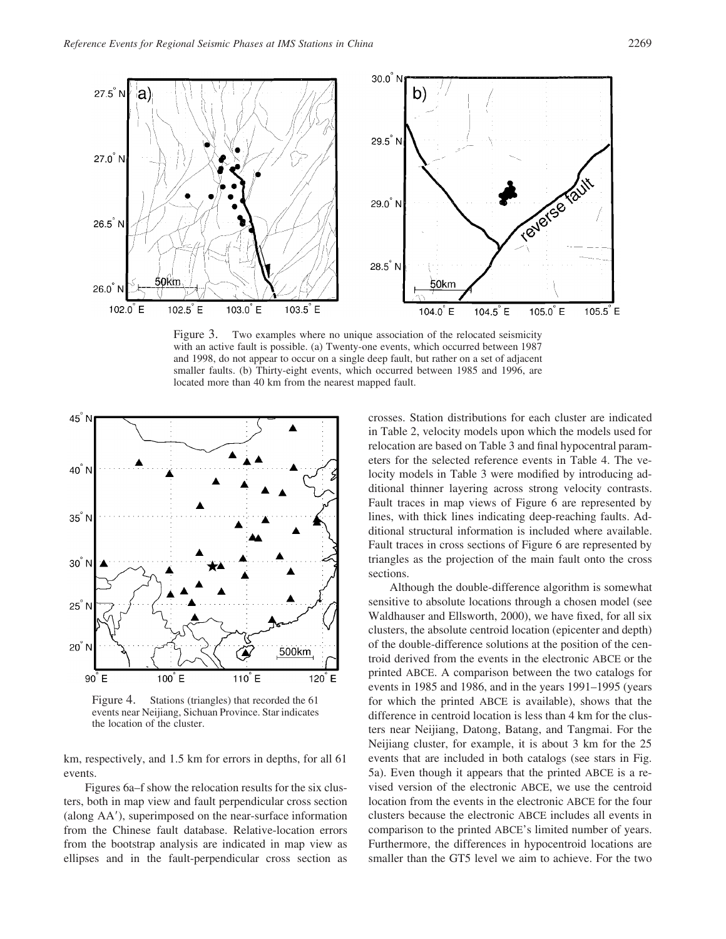

Figure 3. Two examples where no unique association of the relocated seismicity with an active fault is possible. (a) Twenty-one events, which occurred between 1987 and 1998, do not appear to occur on a single deep fault, but rather on a set of adjacent smaller faults. (b) Thirty-eight events, which occurred between 1985 and 1996, are located more than 40 km from the nearest mapped fault.



Figure 4. Stations (triangles) that recorded the 61 events near Neijiang, Sichuan Province. Star indicates the location of the cluster.

km, respectively, and 1.5 km for errors in depths, for all 61 events.

Figures 6a–f show the relocation results for the six clusters, both in map view and fault perpendicular cross section (along AA), superimposed on the near-surface information from the Chinese fault database. Relative-location errors from the bootstrap analysis are indicated in map view as ellipses and in the fault-perpendicular cross section as crosses. Station distributions for each cluster are indicated in Table 2, velocity models upon which the models used for relocation are based on Table 3 and final hypocentral parameters for the selected reference events in Table 4. The velocity models in Table 3 were modified by introducing additional thinner layering across strong velocity contrasts. Fault traces in map views of Figure 6 are represented by lines, with thick lines indicating deep-reaching faults. Additional structural information is included where available. Fault traces in cross sections of Figure 6 are represented by triangles as the projection of the main fault onto the cross sections.

Although the double-difference algorithm is somewhat sensitive to absolute locations through a chosen model (see Waldhauser and Ellsworth, 2000), we have fixed, for all six clusters, the absolute centroid location (epicenter and depth) of the double-difference solutions at the position of the centroid derived from the events in the electronic ABCE or the printed ABCE. A comparison between the two catalogs for events in 1985 and 1986, and in the years 1991–1995 (years for which the printed ABCE is available), shows that the difference in centroid location is less than 4 km for the clusters near Neijiang, Datong, Batang, and Tangmai. For the Neijiang cluster, for example, it is about 3 km for the 25 events that are included in both catalogs (see stars in Fig. 5a). Even though it appears that the printed ABCE is a revised version of the electronic ABCE, we use the centroid location from the events in the electronic ABCE for the four clusters because the electronic ABCE includes all events in comparison to the printed ABCE's limited number of years. Furthermore, the differences in hypocentroid locations are smaller than the GT5 level we aim to achieve. For the two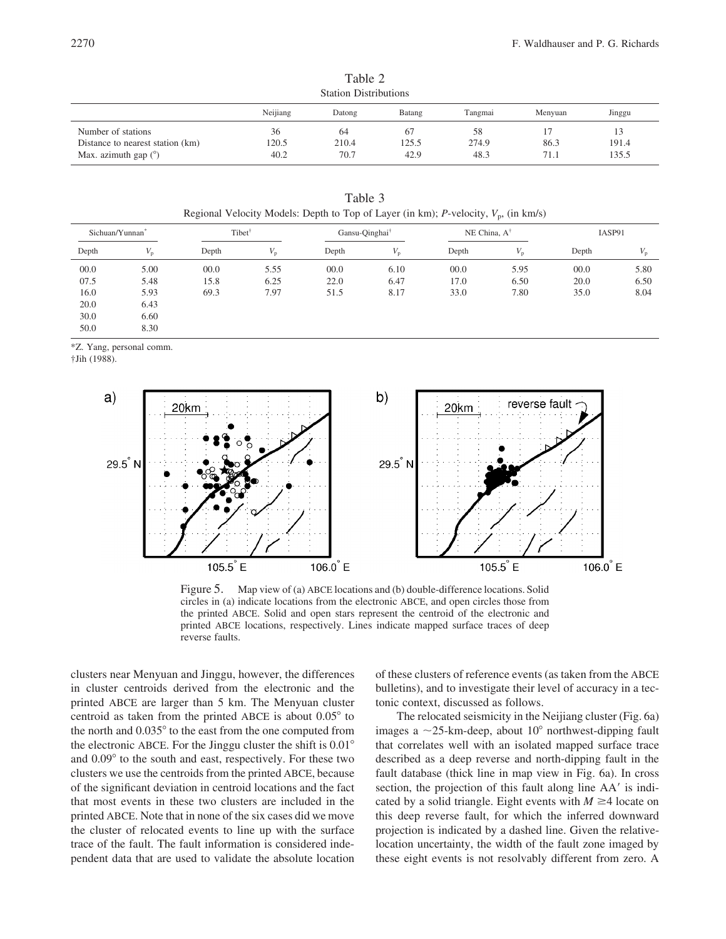| <b>Station Distributions</b>     |          |        |        |         |         |        |
|----------------------------------|----------|--------|--------|---------|---------|--------|
|                                  | Neijiang | Datong | Batang | Tangmai | Menvuan | Jinggu |
| Number of stations               | 36       | 64     |        | 58      |         |        |
| Distance to nearest station (km) | 120.5    | 210.4  | 125.5  | 274.9   | 86.3    | 191.4  |
| Max. azimuth gap $(°)$           | 40.2     | 70.7   | 42.9   | 48.3    | 71.1    | 135.5  |

Table 2

| Table 3                                                                                |
|----------------------------------------------------------------------------------------|
| Regional Velocity Models: Depth to Top of Layer (in km); P-velocity, $V_n$ , (in km/s) |

| Sichuan/Yunnan <sup>®</sup> |      | Tibet <sup>†</sup> |      | Gansu-Oinghai <sup>†</sup> |             | NE China, $A^{\dagger}$ |             | IASP91 |      |
|-----------------------------|------|--------------------|------|----------------------------|-------------|-------------------------|-------------|--------|------|
| Depth                       | 'n   | Depth              |      | Depth                      | $V_{\rm n}$ | Depth                   | $V_{\rm n}$ | Depth  |      |
| 00.0                        | 5.00 | 00.0               | 5.55 | 00.0                       | 6.10        | 00.0                    | 5.95        | 00.0   | 5.80 |
| 07.5                        | 5.48 | 15.8               | 6.25 | 22.0                       | 6.47        | 17.0                    | 6.50        | 20.0   | 6.50 |
| 16.0                        | 5.93 | 69.3               | 7.97 | 51.5                       | 8.17        | 33.0                    | 7.80        | 35.0   | 8.04 |
| 20.0                        | 6.43 |                    |      |                            |             |                         |             |        |      |
| 30.0                        | 6.60 |                    |      |                            |             |                         |             |        |      |
| 50.0                        | 8.30 |                    |      |                            |             |                         |             |        |      |

\*Z. Yang, personal comm.

†Jih (1988).



Figure 5. Map view of (a) ABCE locations and (b) double-difference locations. Solid circles in (a) indicate locations from the electronic ABCE, and open circles those from the printed ABCE. Solid and open stars represent the centroid of the electronic and printed ABCE locations, respectively. Lines indicate mapped surface traces of deep reverse faults.

clusters near Menyuan and Jinggu, however, the differences in cluster centroids derived from the electronic and the printed ABCE are larger than 5 km. The Menyuan cluster centroid as taken from the printed ABCE is about  $0.05^{\circ}$  to the north and  $0.035^{\circ}$  to the east from the one computed from the electronic ABCE. For the Jinggu cluster the shift is  $0.01^{\circ}$ and  $0.09^{\circ}$  to the south and east, respectively. For these two clusters we use the centroids from the printed ABCE, because of the significant deviation in centroid locations and the fact that most events in these two clusters are included in the printed ABCE. Note that in none of the six cases did we move the cluster of relocated events to line up with the surface trace of the fault. The fault information is considered independent data that are used to validate the absolute location of these clusters of reference events (as taken from the ABCE bulletins), and to investigate their level of accuracy in a tectonic context, discussed as follows.

The relocated seismicity in the Neijiang cluster (Fig. 6a) images a  $\sim$ 25-km-deep, about 10 $^{\circ}$  northwest-dipping fault that correlates well with an isolated mapped surface trace described as a deep reverse and north-dipping fault in the fault database (thick line in map view in Fig. 6a). In cross section, the projection of this fault along line AA' is indicated by a solid triangle. Eight events with  $M \geq 4$  locate on this deep reverse fault, for which the inferred downward projection is indicated by a dashed line. Given the relativelocation uncertainty, the width of the fault zone imaged by these eight events is not resolvably different from zero. A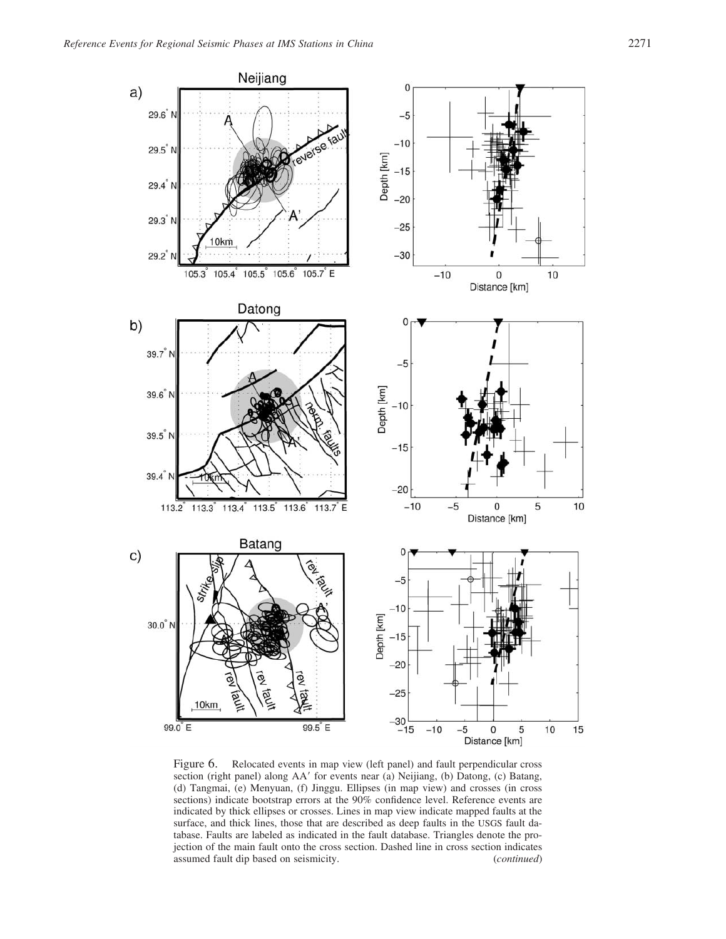

Figure 6. Relocated events in map view (left panel) and fault perpendicular cross section (right panel) along AA' for events near (a) Neijiang, (b) Datong, (c) Batang, (d) Tangmai, (e) Menyuan, (f) Jinggu. Ellipses (in map view) and crosses (in cross sections) indicate bootstrap errors at the 90% confidence level. Reference events are indicated by thick ellipses or crosses. Lines in map view indicate mapped faults at the surface, and thick lines, those that are described as deep faults in the USGS fault database. Faults are labeled as indicated in the fault database. Triangles denote the projection of the main fault onto the cross section. Dashed line in cross section indicates assumed fault dip based on seismicity. (*continued*)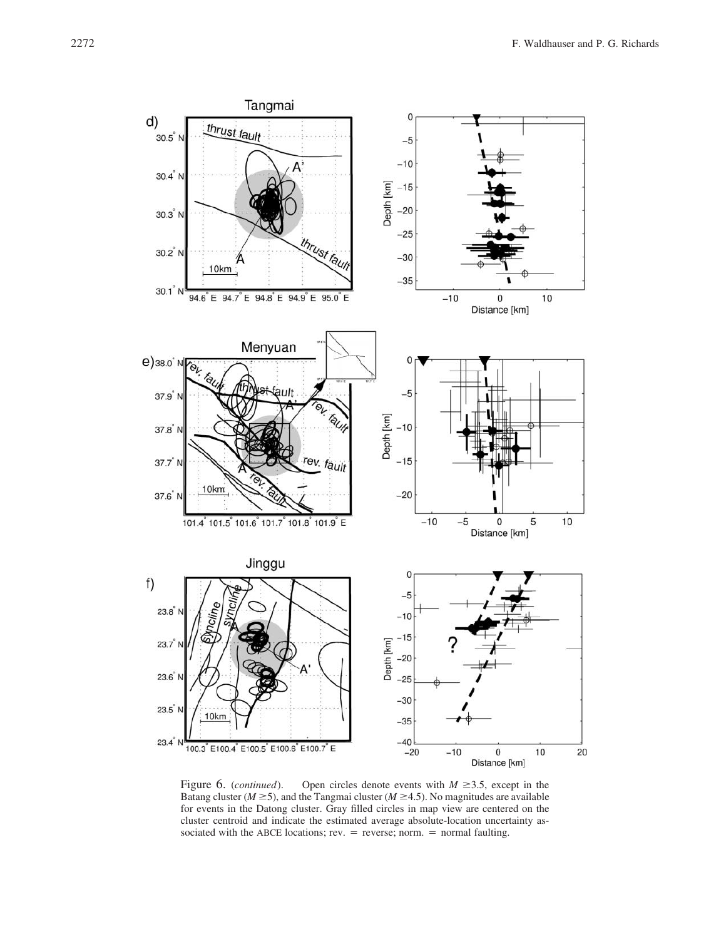

Figure 6. (*continued*). Open circles denote events with  $M \ge 3.5$ , except in the Batang cluster ( $M \ge 5$ ), and the Tangmai cluster ( $M \ge 4.5$ ). No magnitudes are available for events in the Datong cluster. Gray filled circles in map view are centered on the cluster centroid and indicate the estimated average absolute-location uncertainty associated with the ABCE locations; rev.  $=$  reverse; norm.  $=$  normal faulting.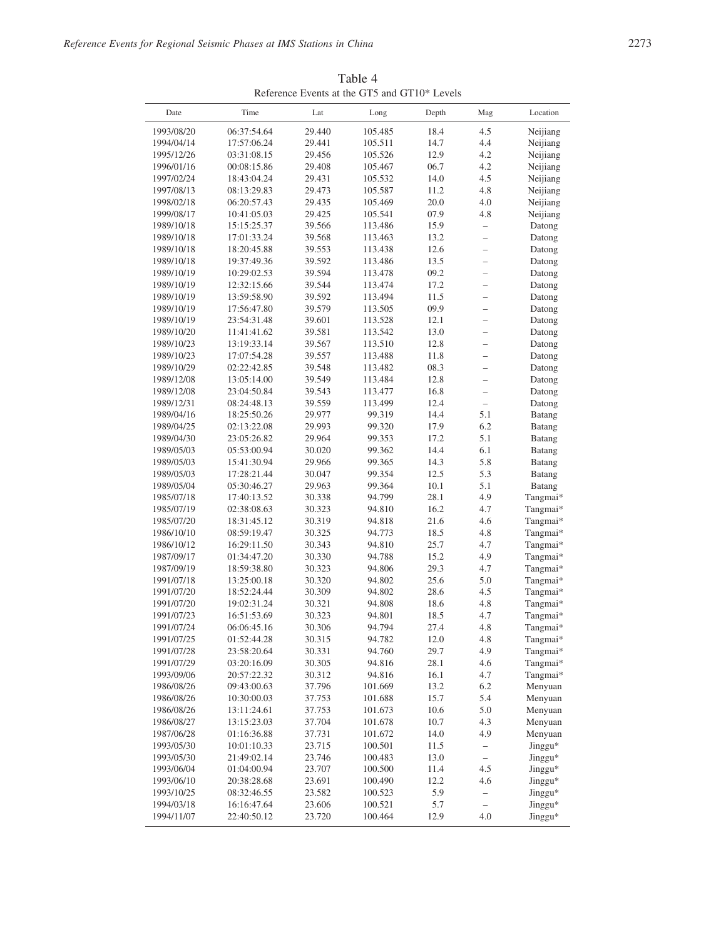| Date       | Time        | Lat    | Long    | Depth | Mag                      | Location |
|------------|-------------|--------|---------|-------|--------------------------|----------|
| 1993/08/20 | 06:37:54.64 | 29.440 | 105.485 | 18.4  | 4.5                      | Neijiang |
| 1994/04/14 | 17:57:06.24 | 29.441 | 105.511 | 14.7  | 4.4                      | Neijiang |
| 1995/12/26 | 03:31:08.15 | 29.456 | 105.526 | 12.9  | 4.2                      | Neijiang |
| 1996/01/16 | 00:08:15.86 | 29.408 | 105.467 | 06.7  | 4.2                      | Neijiang |
| 1997/02/24 | 18:43:04.24 | 29.431 | 105.532 | 14.0  | 4.5                      | Neijiang |
| 1997/08/13 | 08:13:29.83 | 29.473 | 105.587 | 11.2  | 4.8                      | Neijiang |
| 1998/02/18 | 06:20:57.43 | 29.435 | 105.469 | 20.0  | 4.0                      | Neijiang |
| 1999/08/17 | 10:41:05.03 | 29.425 | 105.541 | 07.9  | 4.8                      | Neijiang |
| 1989/10/18 | 15:15:25.37 | 39.566 | 113.486 | 15.9  | $\overline{\phantom{0}}$ | Datong   |
| 1989/10/18 | 17:01:33.24 | 39.568 | 113.463 | 13.2  | $\overline{\phantom{0}}$ | Datong   |
| 1989/10/18 | 18:20:45.88 | 39.553 | 113.438 | 12.6  | $\overline{\phantom{0}}$ | Datong   |
| 1989/10/18 | 19:37:49.36 | 39.592 | 113.486 | 13.5  | $\overline{\phantom{0}}$ | Datong   |
| 1989/10/19 | 10:29:02.53 | 39.594 | 113.478 | 09.2  | $\overline{\phantom{0}}$ | Datong   |
| 1989/10/19 | 12:32:15.66 | 39.544 | 113.474 | 17.2  | $\overline{\phantom{0}}$ | Datong   |
| 1989/10/19 | 13:59:58.90 | 39.592 | 113.494 | 11.5  | $\overline{\phantom{0}}$ | Datong   |
| 1989/10/19 | 17:56:47.80 | 39.579 | 113.505 | 09.9  | $\overline{a}$           | Datong   |
| 1989/10/19 | 23:54:31.48 | 39.601 | 113.528 | 12.1  | $\overline{\phantom{0}}$ | Datong   |
| 1989/10/20 | 11:41:41.62 | 39.581 | 113.542 | 13.0  | $\overline{\phantom{0}}$ | Datong   |
| 1989/10/23 | 13:19:33.14 | 39.567 | 113.510 | 12.8  | $\overline{a}$           | Datong   |
| 1989/10/23 | 17:07:54.28 | 39.557 | 113.488 | 11.8  | $\overline{\phantom{0}}$ | Datong   |
| 1989/10/29 | 02:22:42.85 | 39.548 | 113.482 | 08.3  | $\overline{\phantom{0}}$ | Datong   |
| 1989/12/08 | 13:05:14.00 | 39.549 | 113.484 | 12.8  | $\overline{a}$           | Datong   |
| 1989/12/08 | 23:04:50.84 | 39.543 | 113.477 | 16.8  | $\overline{\phantom{0}}$ | Datong   |
| 1989/12/31 | 08:24:48.13 | 39.559 | 113.499 | 12.4  | $\overline{\phantom{0}}$ | Datong   |
| 1989/04/16 | 18:25:50.26 | 29.977 | 99.319  | 14.4  | 5.1                      | Batang   |
| 1989/04/25 | 02:13:22.08 | 29.993 | 99.320  | 17.9  | 6.2                      | Batang   |
| 1989/04/30 | 23:05:26.82 | 29.964 | 99.353  | 17.2  | 5.1                      | Batang   |
| 1989/05/03 | 05:53:00.94 | 30.020 | 99.362  | 14.4  | 6.1                      | Batang   |
| 1989/05/03 | 15:41:30.94 | 29.966 | 99.365  | 14.3  | 5.8                      | Batang   |
| 1989/05/03 | 17:28:21.44 | 30.047 | 99.354  | 12.5  | 5.3                      | Batang   |
| 1989/05/04 | 05:30:46.27 | 29.963 | 99.364  | 10.1  | 5.1                      | Batang   |
| 1985/07/18 | 17:40:13.52 | 30.338 | 94.799  | 28.1  | 4.9                      | Tangmai* |
| 1985/07/19 | 02:38:08.63 | 30.323 | 94.810  | 16.2  | 4.7                      | Tangmai* |
| 1985/07/20 | 18:31:45.12 | 30.319 | 94.818  | 21.6  | 4.6                      | Tangmai* |
| 1986/10/10 | 08:59:19.47 | 30.325 | 94.773  | 18.5  | 4.8                      | Tangmai* |
| 1986/10/12 | 16:29:11.50 | 30.343 | 94.810  | 25.7  | 4.7                      | Tangmai* |
| 1987/09/17 | 01:34:47.20 | 30.330 | 94.788  | 15.2  | 4.9                      | Tangmai* |
| 1987/09/19 | 18:59:38.80 | 30.323 | 94.806  | 29.3  | 4.7                      | Tangmai* |
| 1991/07/18 | 13:25:00.18 | 30.320 | 94.802  | 25.6  | 5.0                      | Tangmai* |
| 1991/07/20 | 18:52:24.44 | 30.309 | 94.802  | 28.6  | 4.5                      | Tangmai* |
| 1991/07/20 | 19:02:31.24 | 30.321 | 94.808  | 18.6  | 4.8                      | Tangmai* |
| 1991/07/23 | 16:51:53.69 | 30.323 | 94.801  | 18.5  | 4.7                      | Tangmai* |
| 1991/07/24 | 06:06:45.16 | 30.306 | 94.794  | 27.4  | 4.8                      | Tangmai* |
| 1991/07/25 | 01:52:44.28 | 30.315 | 94.782  | 12.0  | 4.8                      | Tangmai* |
| 1991/07/28 | 23:58:20.64 | 30.331 | 94.760  | 29.7  | 4.9                      | Tangmai* |
| 1991/07/29 | 03:20:16.09 | 30.305 | 94.816  | 28.1  | 4.6                      | Tangmai* |
| 1993/09/06 | 20:57:22.32 | 30.312 | 94.816  | 16.1  | 4.7                      | Tangmai* |
| 1986/08/26 | 09:43:00.63 | 37.796 | 101.669 | 13.2  | 6.2                      | Menyuan  |
| 1986/08/26 | 10:30:00.03 | 37.753 | 101.688 | 15.7  | 5.4                      | Menyuan  |
| 1986/08/26 | 13:11:24.61 | 37.753 | 101.673 | 10.6  | 5.0                      | Menyuan  |
| 1986/08/27 | 13:15:23.03 | 37.704 | 101.678 | 10.7  | 4.3                      | Menyuan  |
| 1987/06/28 | 01:16:36.88 | 37.731 | 101.672 | 14.0  | 4.9                      | Menyuan  |
| 1993/05/30 | 10:01:10.33 | 23.715 | 100.501 | 11.5  | $\qquad \qquad -$        | Jinggu*  |
| 1993/05/30 | 21:49:02.14 | 23.746 | 100.483 | 13.0  | $\qquad \qquad -$        | Jinggu*  |
| 1993/06/04 | 01:04:00.94 | 23.707 | 100.500 | 11.4  | 4.5                      | Jinggu*  |
| 1993/06/10 | 20:38:28.68 | 23.691 | 100.490 | 12.2  | 4.6                      | Jinggu*  |
| 1993/10/25 | 08:32:46.55 | 23.582 | 100.523 | 5.9   | $\qquad \qquad -$        | Jinggu*  |
| 1994/03/18 | 16:16:47.64 | 23.606 | 100.521 | 5.7   | $\overline{\phantom{0}}$ | Jinggu*  |
| 1994/11/07 | 22:40:50.12 | 23.720 | 100.464 | 12.9  | 4.0                      | Jinggu*  |

Table 4 Reference Events at the GT5 and GT10\* Levels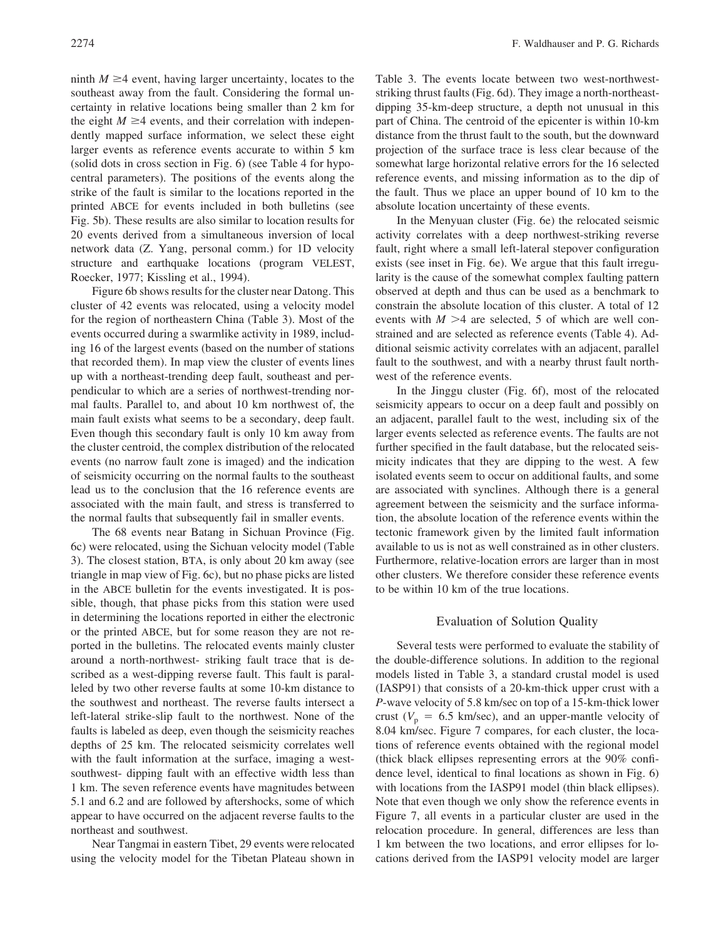ninth  $M \geq 4$  event, having larger uncertainty, locates to the southeast away from the fault. Considering the formal uncertainty in relative locations being smaller than 2 km for the eight  $M \geq 4$  events, and their correlation with independently mapped surface information, we select these eight larger events as reference events accurate to within 5 km (solid dots in cross section in Fig. 6) (see Table 4 for hypocentral parameters). The positions of the events along the strike of the fault is similar to the locations reported in the printed ABCE for events included in both bulletins (see Fig. 5b). These results are also similar to location results for 20 events derived from a simultaneous inversion of local network data (Z. Yang, personal comm.) for 1D velocity structure and earthquake locations (program VELEST, Roecker, 1977; Kissling et al., 1994).

Figure 6b shows results for the cluster near Datong. This cluster of 42 events was relocated, using a velocity model for the region of northeastern China (Table 3). Most of the events occurred during a swarmlike activity in 1989, including 16 of the largest events (based on the number of stations that recorded them). In map view the cluster of events lines up with a northeast-trending deep fault, southeast and perpendicular to which are a series of northwest-trending normal faults. Parallel to, and about 10 km northwest of, the main fault exists what seems to be a secondary, deep fault. Even though this secondary fault is only 10 km away from the cluster centroid, the complex distribution of the relocated events (no narrow fault zone is imaged) and the indication of seismicity occurring on the normal faults to the southeast lead us to the conclusion that the 16 reference events are associated with the main fault, and stress is transferred to the normal faults that subsequently fail in smaller events.

The 68 events near Batang in Sichuan Province (Fig. 6c) were relocated, using the Sichuan velocity model (Table 3). The closest station, BTA, is only about 20 km away (see triangle in map view of Fig. 6c), but no phase picks are listed in the ABCE bulletin for the events investigated. It is possible, though, that phase picks from this station were used in determining the locations reported in either the electronic or the printed ABCE, but for some reason they are not reported in the bulletins. The relocated events mainly cluster around a north-northwest- striking fault trace that is described as a west-dipping reverse fault. This fault is paralleled by two other reverse faults at some 10-km distance to the southwest and northeast. The reverse faults intersect a left-lateral strike-slip fault to the northwest. None of the faults is labeled as deep, even though the seismicity reaches depths of 25 km. The relocated seismicity correlates well with the fault information at the surface, imaging a westsouthwest- dipping fault with an effective width less than 1 km. The seven reference events have magnitudes between 5.1 and 6.2 and are followed by aftershocks, some of which appear to have occurred on the adjacent reverse faults to the northeast and southwest.

Near Tangmai in eastern Tibet, 29 events were relocated using the velocity model for the Tibetan Plateau shown in Table 3. The events locate between two west-northweststriking thrust faults (Fig. 6d). They image a north-northeastdipping 35-km-deep structure, a depth not unusual in this part of China. The centroid of the epicenter is within 10-km distance from the thrust fault to the south, but the downward projection of the surface trace is less clear because of the somewhat large horizontal relative errors for the 16 selected reference events, and missing information as to the dip of the fault. Thus we place an upper bound of 10 km to the absolute location uncertainty of these events.

In the Menyuan cluster (Fig. 6e) the relocated seismic activity correlates with a deep northwest-striking reverse fault, right where a small left-lateral stepover configuration exists (see inset in Fig. 6e). We argue that this fault irregularity is the cause of the somewhat complex faulting pattern observed at depth and thus can be used as a benchmark to constrain the absolute location of this cluster. A total of 12 events with  $M > 4$  are selected, 5 of which are well constrained and are selected as reference events (Table 4). Additional seismic activity correlates with an adjacent, parallel fault to the southwest, and with a nearby thrust fault northwest of the reference events.

In the Jinggu cluster (Fig. 6f), most of the relocated seismicity appears to occur on a deep fault and possibly on an adjacent, parallel fault to the west, including six of the larger events selected as reference events. The faults are not further specified in the fault database, but the relocated seismicity indicates that they are dipping to the west. A few isolated events seem to occur on additional faults, and some are associated with synclines. Although there is a general agreement between the seismicity and the surface information, the absolute location of the reference events within the tectonic framework given by the limited fault information available to us is not as well constrained as in other clusters. Furthermore, relative-location errors are larger than in most other clusters. We therefore consider these reference events to be within 10 km of the true locations.

### Evaluation of Solution Quality

Several tests were performed to evaluate the stability of the double-difference solutions. In addition to the regional models listed in Table 3, a standard crustal model is used (IASP91) that consists of a 20-km-thick upper crust with a *P*-wave velocity of 5.8 km/sec on top of a 15-km-thick lower crust ( $V_p = 6.5$  km/sec), and an upper-mantle velocity of 8.04 km/sec. Figure 7 compares, for each cluster, the locations of reference events obtained with the regional model (thick black ellipses representing errors at the 90% confidence level, identical to final locations as shown in Fig. 6) with locations from the IASP91 model (thin black ellipses). Note that even though we only show the reference events in Figure 7, all events in a particular cluster are used in the relocation procedure. In general, differences are less than 1 km between the two locations, and error ellipses for locations derived from the IASP91 velocity model are larger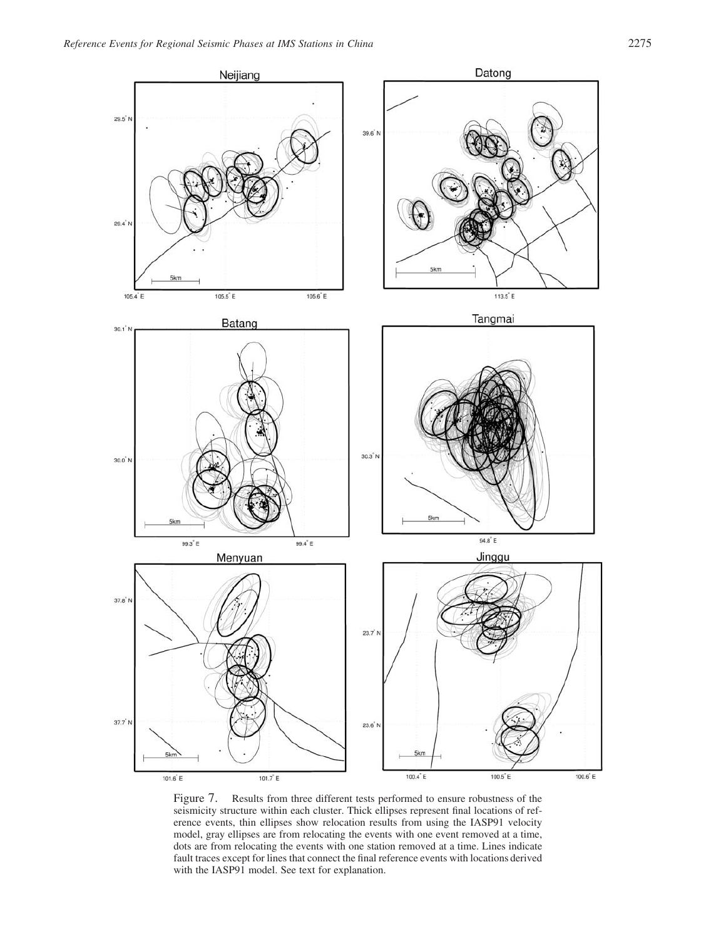

Figure 7. Results from three different tests performed to ensure robustness of the seismicity structure within each cluster. Thick ellipses represent final locations of reference events, thin ellipses show relocation results from using the IASP91 velocity model, gray ellipses are from relocating the events with one event removed at a time, dots are from relocating the events with one station removed at a time. Lines indicate fault traces except for lines that connect the final reference events with locations derived with the IASP91 model. See text for explanation.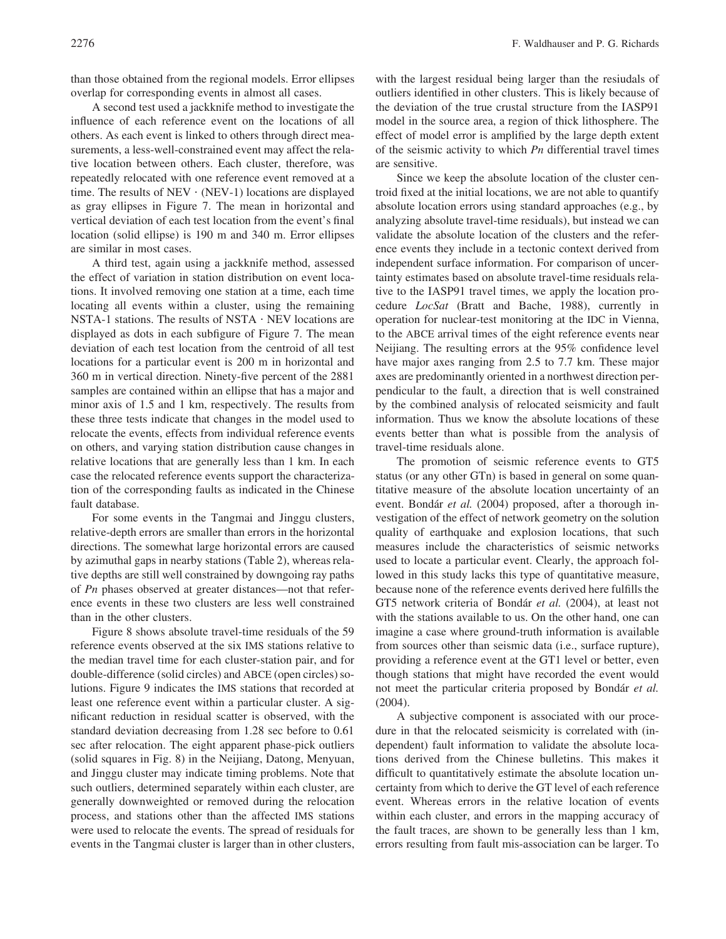than those obtained from the regional models. Error ellipses overlap for corresponding events in almost all cases.

A second test used a jackknife method to investigate the influence of each reference event on the locations of all others. As each event is linked to others through direct measurements, a less-well-constrained event may affect the relative location between others. Each cluster, therefore, was repeatedly relocated with one reference event removed at a time. The results of  $NEV \cdot (NEV-1)$  locations are displayed as gray ellipses in Figure 7. The mean in horizontal and vertical deviation of each test location from the event's final location (solid ellipse) is 190 m and 340 m. Error ellipses are similar in most cases.

A third test, again using a jackknife method, assessed the effect of variation in station distribution on event locations. It involved removing one station at a time, each time locating all events within a cluster, using the remaining NSTA-1 stations. The results of NSTA • NEV locations are displayed as dots in each subfigure of Figure 7. The mean deviation of each test location from the centroid of all test locations for a particular event is 200 m in horizontal and 360 m in vertical direction. Ninety-five percent of the 2881 samples are contained within an ellipse that has a major and minor axis of 1.5 and 1 km, respectively. The results from these three tests indicate that changes in the model used to relocate the events, effects from individual reference events on others, and varying station distribution cause changes in relative locations that are generally less than 1 km. In each case the relocated reference events support the characterization of the corresponding faults as indicated in the Chinese fault database.

For some events in the Tangmai and Jinggu clusters, relative-depth errors are smaller than errors in the horizontal directions. The somewhat large horizontal errors are caused by azimuthal gaps in nearby stations (Table 2), whereas relative depths are still well constrained by downgoing ray paths of *Pn* phases observed at greater distances—not that reference events in these two clusters are less well constrained than in the other clusters.

Figure 8 shows absolute travel-time residuals of the 59 reference events observed at the six IMS stations relative to the median travel time for each cluster-station pair, and for double-difference (solid circles) and ABCE (open circles) solutions. Figure 9 indicates the IMS stations that recorded at least one reference event within a particular cluster. A significant reduction in residual scatter is observed, with the standard deviation decreasing from 1.28 sec before to 0.61 sec after relocation. The eight apparent phase-pick outliers (solid squares in Fig. 8) in the Neijiang, Datong, Menyuan, and Jinggu cluster may indicate timing problems. Note that such outliers, determined separately within each cluster, are generally downweighted or removed during the relocation process, and stations other than the affected IMS stations were used to relocate the events. The spread of residuals for events in the Tangmai cluster is larger than in other clusters, with the largest residual being larger than the resiudals of outliers identified in other clusters. This is likely because of the deviation of the true crustal structure from the IASP91 model in the source area, a region of thick lithosphere. The effect of model error is amplified by the large depth extent of the seismic activity to which *Pn* differential travel times are sensitive.

Since we keep the absolute location of the cluster centroid fixed at the initial locations, we are not able to quantify absolute location errors using standard approaches (e.g., by analyzing absolute travel-time residuals), but instead we can validate the absolute location of the clusters and the reference events they include in a tectonic context derived from independent surface information. For comparison of uncertainty estimates based on absolute travel-time residuals relative to the IASP91 travel times, we apply the location procedure *LocSat* (Bratt and Bache, 1988), currently in operation for nuclear-test monitoring at the IDC in Vienna, to the ABCE arrival times of the eight reference events near Neijiang. The resulting errors at the 95% confidence level have major axes ranging from 2.5 to 7.7 km. These major axes are predominantly oriented in a northwest direction perpendicular to the fault, a direction that is well constrained by the combined analysis of relocated seismicity and fault information. Thus we know the absolute locations of these events better than what is possible from the analysis of travel-time residuals alone.

The promotion of seismic reference events to GT5 status (or any other GTn) is based in general on some quantitative measure of the absolute location uncertainty of an event. Bondár *et al.* (2004) proposed, after a thorough investigation of the effect of network geometry on the solution quality of earthquake and explosion locations, that such measures include the characteristics of seismic networks used to locate a particular event. Clearly, the approach followed in this study lacks this type of quantitative measure, because none of the reference events derived here fulfills the GT5 network criteria of Bonda´r *et al.* (2004), at least not with the stations available to us. On the other hand, one can imagine a case where ground-truth information is available from sources other than seismic data (i.e., surface rupture), providing a reference event at the GT1 level or better, even though stations that might have recorded the event would not meet the particular criteria proposed by Bondár *et al.* (2004).

A subjective component is associated with our procedure in that the relocated seismicity is correlated with (independent) fault information to validate the absolute locations derived from the Chinese bulletins. This makes it difficult to quantitatively estimate the absolute location uncertainty from which to derive the GT level of each reference event. Whereas errors in the relative location of events within each cluster, and errors in the mapping accuracy of the fault traces, are shown to be generally less than 1 km, errors resulting from fault mis-association can be larger. To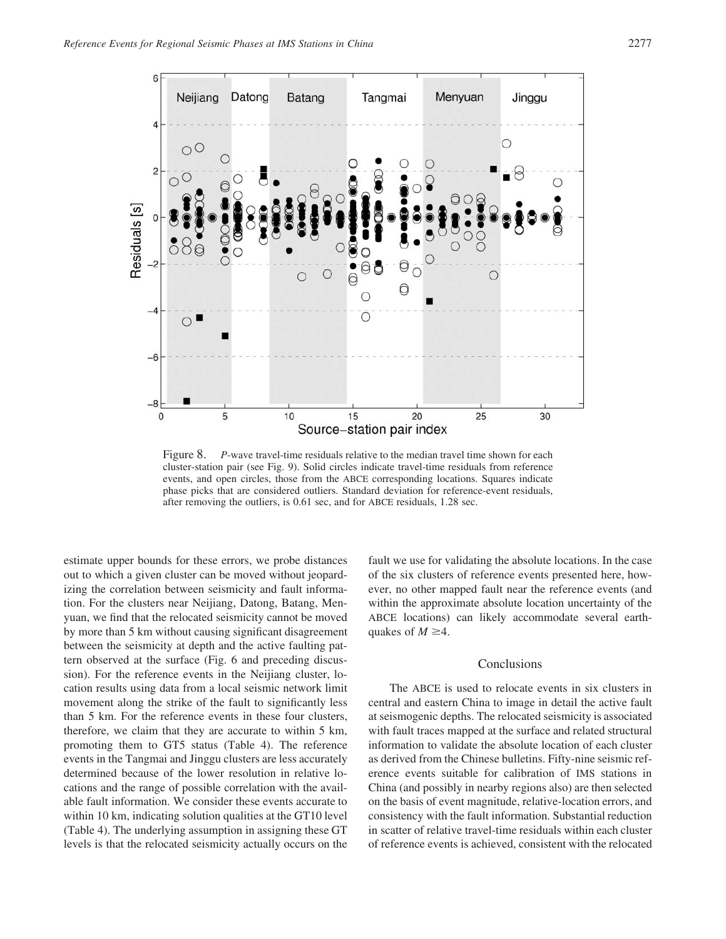

Figure 8. *P*-wave travel-time residuals relative to the median travel time shown for each cluster-station pair (see Fig. 9). Solid circles indicate travel-time residuals from reference events, and open circles, those from the ABCE corresponding locations. Squares indicate phase picks that are considered outliers. Standard deviation for reference-event residuals, after removing the outliers, is 0.61 sec, and for ABCE residuals, 1.28 sec.

estimate upper bounds for these errors, we probe distances out to which a given cluster can be moved without jeopardizing the correlation between seismicity and fault information. For the clusters near Neijiang, Datong, Batang, Menyuan, we find that the relocated seismicity cannot be moved by more than 5 km without causing significant disagreement between the seismicity at depth and the active faulting pattern observed at the surface (Fig. 6 and preceding discussion). For the reference events in the Neijiang cluster, location results using data from a local seismic network limit movement along the strike of the fault to significantly less than 5 km. For the reference events in these four clusters, therefore, we claim that they are accurate to within 5 km, promoting them to GT5 status (Table 4). The reference events in the Tangmai and Jinggu clusters are less accurately determined because of the lower resolution in relative locations and the range of possible correlation with the available fault information. We consider these events accurate to within 10 km, indicating solution qualities at the GT10 level (Table 4). The underlying assumption in assigning these GT levels is that the relocated seismicity actually occurs on the fault we use for validating the absolute locations. In the case of the six clusters of reference events presented here, however, no other mapped fault near the reference events (and within the approximate absolute location uncertainty of the ABCE locations) can likely accommodate several earthquakes of  $M \geq 4$ .

## Conclusions

The ABCE is used to relocate events in six clusters in central and eastern China to image in detail the active fault at seismogenic depths. The relocated seismicity is associated with fault traces mapped at the surface and related structural information to validate the absolute location of each cluster as derived from the Chinese bulletins. Fifty-nine seismic reference events suitable for calibration of IMS stations in China (and possibly in nearby regions also) are then selected on the basis of event magnitude, relative-location errors, and consistency with the fault information. Substantial reduction in scatter of relative travel-time residuals within each cluster of reference events is achieved, consistent with the relocated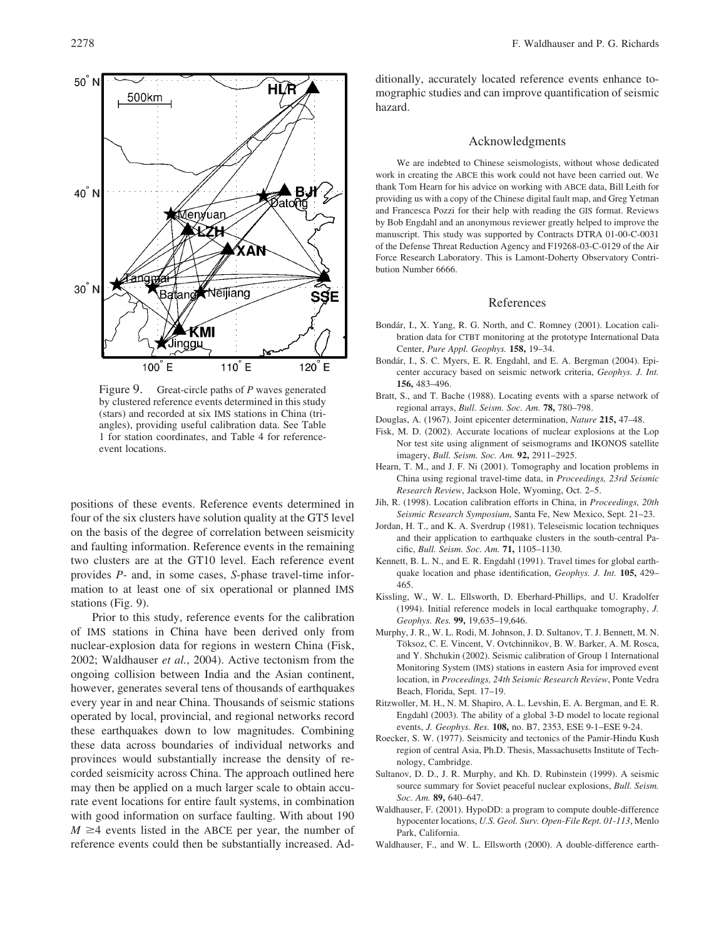

Figure 9. Great-circle paths of *P* waves generated by clustered reference events determined in this study (stars) and recorded at six IMS stations in China (triangles), providing useful calibration data. See Table 1 for station coordinates, and Table 4 for referenceevent locations.

positions of these events. Reference events determined in four of the six clusters have solution quality at the GT5 level on the basis of the degree of correlation between seismicity and faulting information. Reference events in the remaining two clusters are at the GT10 level. Each reference event provides *P*- and, in some cases, *S*-phase travel-time information to at least one of six operational or planned IMS stations (Fig. 9).

Prior to this study, reference events for the calibration of IMS stations in China have been derived only from nuclear-explosion data for regions in western China (Fisk, 2002; Waldhauser *et al.*, 2004). Active tectonism from the ongoing collision between India and the Asian continent, however, generates several tens of thousands of earthquakes every year in and near China. Thousands of seismic stations operated by local, provincial, and regional networks record these earthquakes down to low magnitudes. Combining these data across boundaries of individual networks and provinces would substantially increase the density of recorded seismicity across China. The approach outlined here may then be applied on a much larger scale to obtain accurate event locations for entire fault systems, in combination with good information on surface faulting. With about 190  $M \geq 4$  events listed in the ABCE per year, the number of reference events could then be substantially increased. Additionally, accurately located reference events enhance tomographic studies and can improve quantification of seismic hazard.

#### Acknowledgments

We are indebted to Chinese seismologists, without whose dedicated work in creating the ABCE this work could not have been carried out. We thank Tom Hearn for his advice on working with ABCE data, Bill Leith for providing us with a copy of the Chinese digital fault map, and Greg Yetman and Francesca Pozzi for their help with reading the GIS format. Reviews by Bob Engdahl and an anonymous reviewer greatly helped to improve the manuscript. This study was supported by Contracts DTRA 01-00-C-0031 of the Defense Threat Reduction Agency and F19268-03-C-0129 of the Air Force Research Laboratory. This is Lamont-Doherty Observatory Contribution Number 6666.

#### References

- Bondár, I., X. Yang, R. G. North, and C. Romney (2001). Location calibration data for CTBT monitoring at the prototype International Data Center, *Pure Appl. Geophys.* **158,** 19–34.
- Bondár, I., S. C. Myers, E. R. Engdahl, and E. A. Bergman (2004). Epicenter accuracy based on seismic network criteria, *Geophys. J. Int.* **156,** 483–496.
- Bratt, S., and T. Bache (1988). Locating events with a sparse network of regional arrays, *Bull. Seism. Soc. Am.* **78,** 780–798.
- Douglas, A. (1967). Joint epicenter determination, *Nature* **215,** 47–48.
- Fisk, M. D. (2002). Accurate locations of nuclear explosions at the Lop Nor test site using alignment of seismograms and IKONOS satellite imagery, *Bull. Seism. Soc. Am.* **92,** 2911–2925.
- Hearn, T. M., and J. F. Ni (2001). Tomography and location problems in China using regional travel-time data, in *Proceedings, 23rd Seismic Research Review*, Jackson Hole, Wyoming, Oct. 2–5.
- Jih, R. (1998). Location calibration efforts in China, in *Proceedings, 20th Seismic Research Symposium*, Santa Fe, New Mexico, Sept. 21–23.
- Jordan, H. T., and K. A. Sverdrup (1981). Teleseismic location techniques and their application to earthquake clusters in the south-central Pacific, *Bull. Seism. Soc. Am.* **71,** 1105–1130.
- Kennett, B. L. N., and E. R. Engdahl (1991). Travel times for global earthquake location and phase identification, *Geophys. J. Int.* **105,** 429– 465.
- Kissling, W., W. L. Ellsworth, D. Eberhard-Phillips, and U. Kradolfer (1994). Initial reference models in local earthquake tomography, *J. Geophys. Res.* **99,** 19,635–19,646.
- Murphy, J. R., W. L. Rodi, M. Johnson, J. D. Sultanov, T. J. Bennett, M. N. Töksoz, C. E. Vincent, V. Ovtchinnikov, B. W. Barker, A. M. Rosca, and Y. Shchukin (2002). Seismic calibration of Group 1 International Monitoring System (IMS) stations in eastern Asia for improved event location, in *Proceedings, 24th Seismic Research Review*, Ponte Vedra Beach, Florida, Sept. 17–19.
- Ritzwoller, M. H., N. M. Shapiro, A. L. Levshin, E. A. Bergman, and E. R. Engdahl (2003). The ability of a global 3-D model to locate regional events, *J. Geophys. Res.* **108,** no. B7, 2353, ESE 9-1–ESE 9-24.
- Roecker, S. W. (1977). Seismicity and tectonics of the Pamir-Hindu Kush region of central Asia, Ph.D. Thesis, Massachusetts Institute of Technology, Cambridge.
- Sultanov, D. D., J. R. Murphy, and Kh. D. Rubinstein (1999). A seismic source summary for Soviet peaceful nuclear explosions, *Bull. Seism. Soc. Am.* **89,** 640–647.
- Waldhauser, F. (2001). HypoDD: a program to compute double-difference hypocenter locations, *U.S. Geol. Surv. Open-File Rept. 01-113*, Menlo Park, California.
- Waldhauser, F., and W. L. Ellsworth (2000). A double-difference earth-